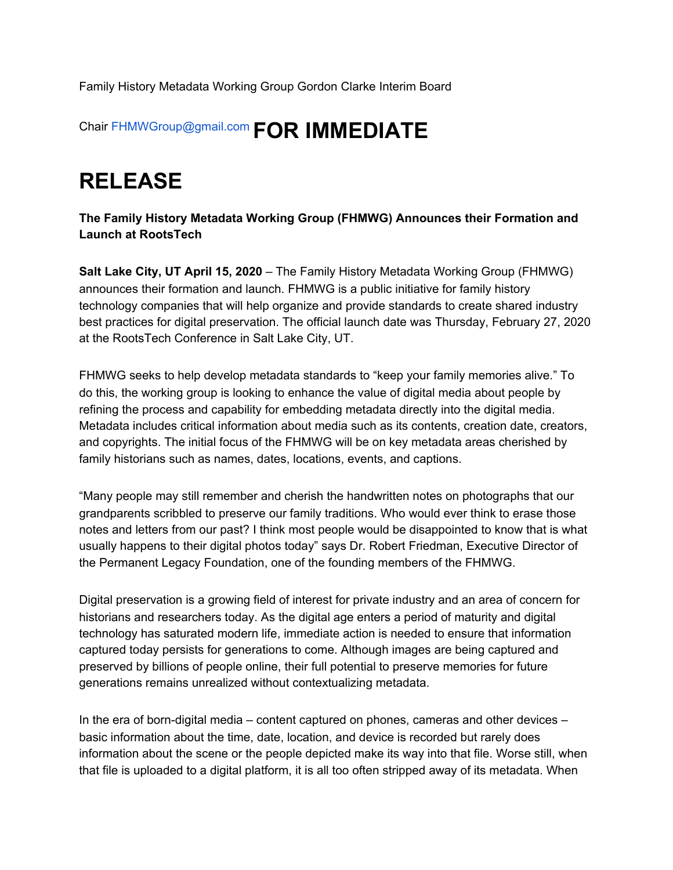Family History Metadata Working Group Gordon Clarke Interim Board

## Chair FHMWGroup@gmail.com **FOR IMMEDIATE**

## **RELEASE**

**The Family History Metadata Working Group (FHMWG) Announces their Formation and Launch at RootsTech**

**Salt Lake City, UT April 15, 2020** – The Family History Metadata Working Group (FHMWG) announces their formation and launch. FHMWG is a public initiative for family history technology companies that will help organize and provide standards to create shared industry best practices for digital preservation. The official launch date was Thursday, February 27, 2020 at the RootsTech Conference in Salt Lake City, UT.

FHMWG seeks to help develop metadata standards to "keep your family memories alive." To do this, the working group is looking to enhance the value of digital media about people by refining the process and capability for embedding metadata directly into the digital media. Metadata includes critical information about media such as its contents, creation date, creators, and copyrights. The initial focus of the FHMWG will be on key metadata areas cherished by family historians such as names, dates, locations, events, and captions.

"Many people may still remember and cherish the handwritten notes on photographs that our grandparents scribbled to preserve our family traditions. Who would ever think to erase those notes and letters from our past? I think most people would be disappointed to know that is what usually happens to their digital photos today" says Dr. Robert Friedman, Executive Director of the Permanent Legacy Foundation, one of the founding members of the FHMWG.

Digital preservation is a growing field of interest for private industry and an area of concern for historians and researchers today. As the digital age enters a period of maturity and digital technology has saturated modern life, immediate action is needed to ensure that information captured today persists for generations to come. Although images are being captured and preserved by billions of people online, their full potential to preserve memories for future generations remains unrealized without contextualizing metadata.

In the era of born-digital media – content captured on phones, cameras and other devices – basic information about the time, date, location, and device is recorded but rarely does information about the scene or the people depicted make its way into that file. Worse still, when that file is uploaded to a digital platform, it is all too often stripped away of its metadata. When